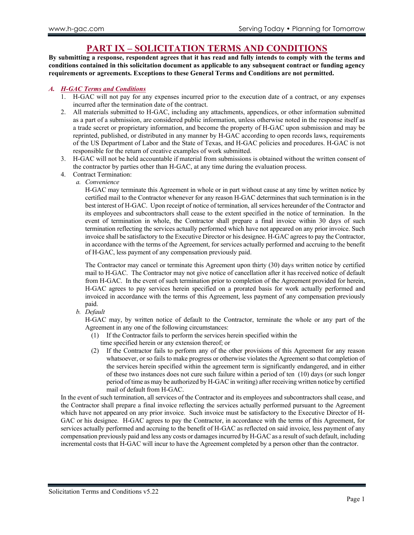# **PART IX – SOLICITATION TERMS AND CONDITIONS**

**By submitting a response, respondent agrees that it has read and fully intends to comply with the terms and conditions contained in this solicitation document as applicable to any subsequent contract or funding agency requirements or agreements. Exceptions to these General Terms and Conditions are not permitted.**

## *A. H-GAC Terms and Conditions*

- 1. H-GAC will not pay for any expenses incurred prior to the execution date of a contract, or any expenses incurred after the termination date of the contract.
- 2. All materials submitted to H-GAC, including any attachments, appendices, or other information submitted as a part of a submission, are considered public information, unless otherwise noted in the response itself as a trade secret or proprietary information, and become the property of H-GAC upon submission and may be reprinted, published, or distributed in any manner by H-GAC according to open records laws, requirements of the US Department of Labor and the State of Texas, and H-GAC policies and procedures. H-GAC is not responsible for the return of creative examples of work submitted.
- 3. H-GAC will not be held accountable if material from submissions is obtained without the written consent of the contractor by parties other than H-GAC, at any time during the evaluation process.
- 4. Contract Termination:
	- *a. Convenience*

H-GAC may terminate this Agreement in whole or in part without cause at any time by written notice by certified mail to the Contractor whenever for any reason H-GAC determines that such termination is in the best interest of H-GAC. Upon receipt of notice of termination, all services hereunder of the Contractor and its employees and subcontractors shall cease to the extent specified in the notice of termination. In the event of termination in whole, the Contractor shall prepare a final invoice within 30 days of such termination reflecting the services actually performed which have not appeared on any prior invoice. Such invoice shall be satisfactory to the Executive Director or his designee. H-GAC agrees to pay the Contractor, in accordance with the terms of the Agreement, for services actually performed and accruing to the benefit of H-GAC, less payment of any compensation previously paid.

The Contractor may cancel or terminate this Agreement upon thirty (30) days written notice by certified mail to H-GAC. The Contractor may not give notice of cancellation after it has received notice of default from H-GAC. In the event of such termination prior to completion of the Agreement provided for herein, H-GAC agrees to pay services herein specified on a prorated basis for work actually performed and invoiced in accordance with the terms of this Agreement, less payment of any compensation previously paid.

*b. Default*

H-GAC may, by written notice of default to the Contractor, terminate the whole or any part of the Agreement in any one of the following circumstances:

- (1) If the Contractor fails to perform the services herein specified within the time specified herein or any extension thereof; or
- (2) If the Contractor fails to perform any of the other provisions of this Agreement for any reason whatsoever, or so fails to make progress or otherwise violates the Agreement so that completion of the services herein specified within the agreement term is significantly endangered, and in either of these two instances does not cure such failure within a period of ten (10) days (or such longer period of time as may be authorized by H-GAC in writing) after receiving written notice by certified mail of default from H-GAC.

In the event of such termination, all services of the Contractor and its employees and subcontractors shall cease, and the Contractor shall prepare a final invoice reflecting the services actually performed pursuant to the Agreement which have not appeared on any prior invoice. Such invoice must be satisfactory to the Executive Director of H-GAC or his designee. H-GAC agrees to pay the Contractor, in accordance with the terms of this Agreement, for services actually performed and accruing to the benefit of H-GAC as reflected on said invoice, less payment of any compensation previously paid and less any costs or damages incurred by H-GAC as a result of such default, including incremental costs that H-GAC will incur to have the Agreement completed by a person other than the contractor.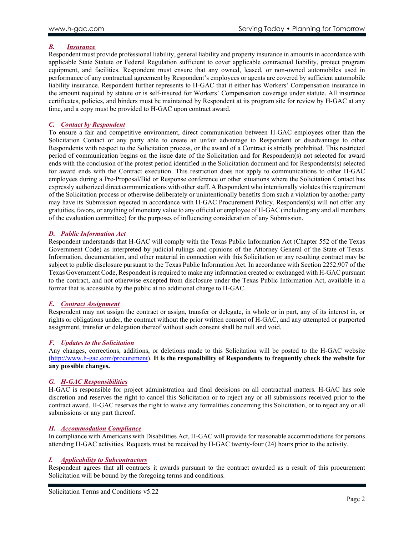## *B. Insurance*

Respondent must provide professional liability, general liability and property insurance in amounts in accordance with applicable State Statute or Federal Regulation sufficient to cover applicable contractual liability, protect program equipment, and facilities. Respondent must ensure that any owned, leased, or non-owned automobiles used in performance of any contractual agreement by Respondent's employees or agents are covered by sufficient automobile liability insurance. Respondent further represents to H-GAC that it either has Workers' Compensation insurance in the amount required by statute or is self-insured for Workers' Compensation coverage under statute. All insurance certificates, policies, and binders must be maintained by Respondent at its program site for review by H-GAC at any time, and a copy must be provided to H-GAC upon contract award.

## *C. Contact by Respondent*

To ensure a fair and competitive environment, direct communication between H-GAC employees other than the Solicitation Contact or any party able to create an unfair advantage to Respondent or disadvantage to other Respondents with respect to the Solicitation process, or the award of a Contract is strictly prohibited. This restricted period of communication begins on the issue date of the Solicitation and for Respondent(s) not selected for award ends with the conclusion of the protest period identified in the Solicitation document and for Respondents(s) selected for award ends with the Contract execution. This restriction does not apply to communications to other H-GAC employees during a Pre-Proposal/Bid or Response conference or other situations where the Solicitation Contact has expressly authorized direct communications with other staff. A Respondent who intentionally violates this requirement of the Solicitation process or otherwise deliberately or unintentionally benefits from such a violation by another party may have its Submission rejected in accordance with H-GAC Procurement Policy. Respondent(s) will not offer any gratuities, favors, or anything of monetary value to any official or employee of H-GAC (including any and all members of the evaluation committee) for the purposes of influencing consideration of any Submission.

# *D. Public Information Act*

Respondent understands that H-GAC will comply with the Texas Public Information Act (Chapter 552 of the Texas Government Code) as interpreted by judicial rulings and opinions of the Attorney General of the State of Texas. Information, documentation, and other material in connection with this Solicitation or any resulting contract may be subject to public disclosure pursuant to the Texas Public Information Act. In accordance with Section 2252.907 of the Texas Government Code, Respondent is required to make any information created or exchanged with H-GAC pursuant to the contract, and not otherwise excepted from disclosure under the Texas Public Information Act, available in a format that is accessible by the public at no additional charge to H-GAC.

## *E. Contract Assignment*

Respondent may not assign the contract or assign, transfer or delegate, in whole or in part, any of its interest in, or rights or obligations under, the contract without the prior written consent of H-GAC, and any attempted or purported assignment, transfer or delegation thereof without such consent shall be null and void.

## *F. Updates to the Solicitation*

Any changes, corrections, additions, or deletions made to this Solicitation will be posted to the H-GAC website [\(http://www.h-gac.com/procurement\)](http://www.h-gac.com/procurement). **It is the responsibility of Respondents to frequently check the website for any possible changes.**

## *G. H-GAC Responsibilities*

H-GAC is responsible for project administration and final decisions on all contractual matters. H-GAC has sole discretion and reserves the right to cancel this Solicitation or to reject any or all submissions received prior to the contract award. H-GAC reserves the right to waive any formalities concerning this Solicitation, or to reject any or all submissions or any part thereof.

## *H. Accommodation Compliance*

In compliance with Americans with Disabilities Act, H-GAC will provide for reasonable accommodations for persons attending H-GAC activities. Requests must be received by H-GAC twenty-four (24) hours prior to the activity.

## *I. Applicability to Subcontractors*

Respondent agrees that all contracts it awards pursuant to the contract awarded as a result of this procurement Solicitation will be bound by the foregoing terms and conditions.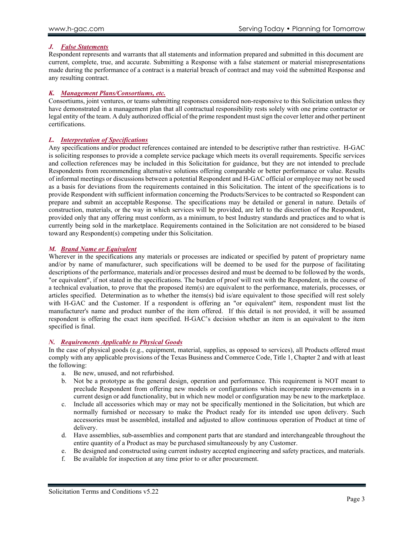# *J. False Statements*

Respondent represents and warrants that all statements and information prepared and submitted in this document are current, complete, true, and accurate. Submitting a Response with a false statement or material misrepresentations made during the performance of a contract is a material breach of contract and may void the submitted Response and any resulting contract.

## *K. Management Plans/Consortiums, etc.*

Consortiums, joint ventures, or teams submitting responses considered non-responsive to this Solicitation unless they have demonstrated in a management plan that all contractual responsibility rests solely with one prime contractor or legal entity of the team. A duly authorized official of the prime respondent must sign the cover letter and other pertinent certifications.

## *L. Interpretation of Specifications*

Any specifications and/or product references contained are intended to be descriptive rather than restrictive. H-GAC is soliciting responses to provide a complete service package which meets its overall requirements. Specific services and collection references may be included in this Solicitation for guidance, but they are not intended to preclude Respondents from recommending alternative solutions offering comparable or better performance or value. Results of informal meetings or discussions between a potential Respondent and H-GAC official or employee may not be used as a basis for deviations from the requirements contained in this Solicitation. The intent of the specifications is to provide Respondent with sufficient information concerning the Products/Services to be contracted so Respondent can prepare and submit an acceptable Response. The specifications may be detailed or general in nature. Details of construction, materials, or the way in which services will be provided, are left to the discretion of the Respondent, provided only that any offering must conform, as a minimum, to best Industry standards and practices and to what is currently being sold in the marketplace. Requirements contained in the Solicitation are not considered to be biased toward any Respondent(s) competing under this Solicitation.

#### *M. Brand Name or Equivalent*

Wherever in the specifications any materials or processes are indicated or specified by patent of proprietary name and/or by name of manufacturer, such specifications will be deemed to be used for the purpose of facilitating descriptions of the performance, materials and/or processes desired and must be deemed to be followed by the words, "or equivalent", if not stated in the specifications. The burden of proof will rest with the Respondent, in the course of a technical evaluation, to prove that the proposed item(s) are equivalent to the performance, materials, processes, or articles specified. Determination as to whether the items(s) bid is/are equivalent to those specified will rest solely with H-GAC and the Customer. If a respondent is offering an "or equivalent" item, respondent must list the manufacturer's name and product number of the item offered. If this detail is not provided, it will be assumed respondent is offering the exact item specified. H-GAC's decision whether an item is an equivalent to the item specified is final.

## *N. Requirements Applicable to Physical Goods*

In the case of physical goods (e.g., equipment, material, supplies, as opposed to services), all Products offered must comply with any applicable provisions of the Texas Business and Commerce Code, Title 1, Chapter 2 and with at least the following:

- a. Be new, unused, and not refurbished.
- b. Not be a prototype as the general design, operation and performance. This requirement is NOT meant to preclude Respondent from offering new models or configurations which incorporate improvements in a current design or add functionality, but in which new model or configuration may be new to the marketplace.
- c. Include all accessories which may or may not be specifically mentioned in the Solicitation, but which are normally furnished or necessary to make the Product ready for its intended use upon delivery. Such accessories must be assembled, installed and adjusted to allow continuous operation of Product at time of delivery.
- d. Have assemblies, sub-assemblies and component parts that are standard and interchangeable throughout the entire quantity of a Product as may be purchased simultaneously by any Customer.
- e. Be designed and constructed using current industry accepted engineering and safety practices, and materials.
- f. Be available for inspection at any time prior to or after procurement.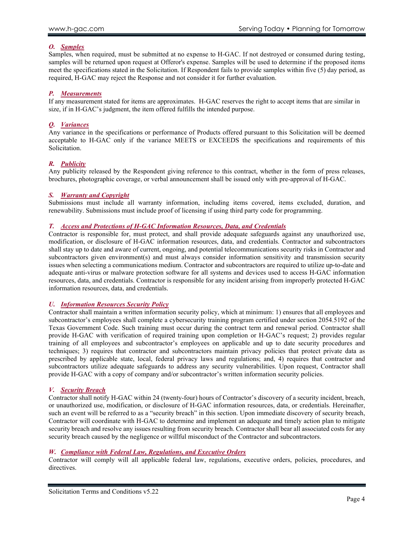# *O. Samples*

Samples, when required, must be submitted at no expense to H-GAC. If not destroyed or consumed during testing, samples will be returned upon request at Offeror's expense. Samples will be used to determine if the proposed items meet the specifications stated in the Solicitation. If Respondent fails to provide samples within five (5) day period, as required, H-GAC may reject the Response and not consider it for further evaluation.

## *P. Measurements*

If any measurement stated for items are approximates. H-GAC reserves the right to accept items that are similar in size, if in H-GAC's judgment, the item offered fulfills the intended purpose.

# *Q. Variances*

Any variance in the specifications or performance of Products offered pursuant to this Solicitation will be deemed acceptable to H-GAC only if the variance MEETS or EXCEEDS the specifications and requirements of this Solicitation.

# *R. Publicity*

Any publicity released by the Respondent giving reference to this contract, whether in the form of press releases, brochures, photographic coverage, or verbal announcement shall be issued only with pre-approval of H-GAC.

## *S. Warranty and Copyright*

Submissions must include all warranty information, including items covered, items excluded, duration, and renewability. Submissions must include proof of licensing if using third party code for programming.

## *T. Access and Protections of H-GAC Information Resources, Data, and Credentials*

Contractor is responsible for, must protect, and shall provide adequate safeguards against any unauthorized use, modification, or disclosure of H-GAC information resources, data, and credentials. Contractor and subcontractors shall stay up to date and aware of current, ongoing, and potential telecommunications security risks in Contractor and subcontractors given environment(s) and must always consider information sensitivity and transmission security issues when selecting a communications medium. Contractor and subcontractors are required to utilize up-to-date and adequate anti-virus or malware protection software for all systems and devices used to access H-GAC information resources, data, and credentials. Contractor is responsible for any incident arising from improperly protected H-GAC information resources, data, and credentials.

## *U. Information Resources Security Policy*

Contractor shall maintain a written information security policy, which at minimum: 1) ensures that all employees and subcontractor's employees shall complete a cybersecurity training program certified under section 2054.5192 of the Texas Government Code. Such training must occur during the contract term and renewal period. Contractor shall provide H-GAC with verification of required training upon completion or H-GAC's request; 2) provides regular training of all employees and subcontractor's employees on applicable and up to date security procedures and techniques; 3) requires that contractor and subcontractors maintain privacy policies that protect private data as prescribed by applicable state, local, federal privacy laws and regulations; and, 4) requires that contractor and subcontractors utilize adequate safeguards to address any security vulnerabilities. Upon request, Contractor shall provide H-GAC with a copy of company and/or subcontractor's written information security policies.

## *V. Security Breach*

Contractor shall notify H-GAC within 24 (twenty-four) hours of Contractor's discovery of a security incident, breach, or unauthorized use, modification, or disclosure of H-GAC information resources, data, or credentials. Hereinafter, such an event will be referred to as a "security breach" in this section. Upon immediate discovery of security breach, Contractor will coordinate with H-GAC to determine and implement an adequate and timely action plan to mitigate security breach and resolve any issues resulting from security breach. Contractor shall bear all associated costs for any security breach caused by the negligence or willful misconduct of the Contractor and subcontractors.

## *W. Compliance with Federal Law, Regulations, and Executive Orders*

Contractor will comply will all applicable federal law, regulations, executive orders, policies, procedures, and directives.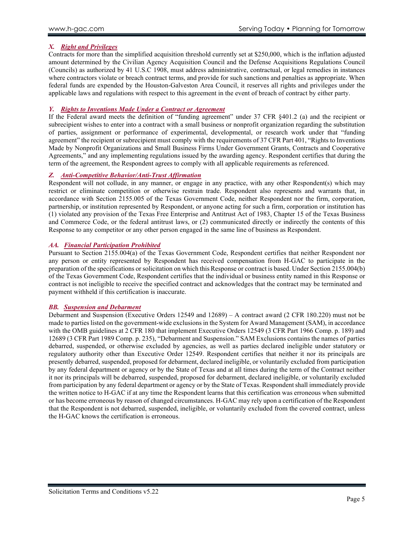# *X. Right and Privileges*

Contracts for more than the simplified acquisition threshold currently set at \$250,000, which is the inflation adjusted amount determined by the Civilian Agency Acquisition Council and the Defense Acquisitions Regulations Council (Councils) as authorized by 41 U.S.C 1908, must address administrative, contractual, or legal remedies in instances where contractors violate or breach contract terms, and provide for such sanctions and penalties as appropriate. When federal funds are expended by the Houston-Galveston Area Council, it reserves all rights and privileges under the applicable laws and regulations with respect to this agreement in the event of breach of contract by either party.

## *Y. Rights to Inventions Made Under a Contract or Agreement*

If the Federal award meets the definition of "funding agreement" under 37 CFR §401.2 (a) and the recipient or subrecipient wishes to enter into a contract with a small business or nonprofit organization regarding the substitution of parties, assignment or performance of experimental, developmental, or research work under that "funding agreement" the recipient or subrecipient must comply with the requirements of 37 CFR Part 401, "Rights to Inventions Made by Nonprofit Organizations and Small Business Firms Under Government Grants, Contracts and Cooperative Agreements," and any implementing regulations issued by the awarding agency. Respondent certifies that during the term of the agreement, the Respondent agrees to comply with all applicable requirements as referenced.

## *Z. Anti-Competitive Behavior/Anti-Trust Affirmation*

Respondent will not collude, in any manner, or engage in any practice, with any other Respondent(s) which may restrict or eliminate competition or otherwise restrain trade. Respondent also represents and warrants that, in accordance with Section 2155.005 of the Texas Government Code, neither Respondent nor the firm, corporation, partnership, or institution represented by Respondent, or anyone acting for such a firm, corporation or institution has (1) violated any provision of the Texas Free Enterprise and Antitrust Act of 1983, Chapter 15 of the Texas Business and Commerce Code, or the federal antitrust laws, or (2) communicated directly or indirectly the contents of this Response to any competitor or any other person engaged in the same line of business as Respondent.

## *AA. Financial Participation Prohibited*

Pursuant to Section 2155.004(a) of the Texas Government Code, Respondent certifies that neither Respondent nor any person or entity represented by Respondent has received compensation from H-GAC to participate in the preparation of the specifications or solicitation on which this Response or contract is based. Under Section 2155.004(b) of the Texas Government Code, Respondent certifies that the individual or business entity named in this Response or contract is not ineligible to receive the specified contract and acknowledges that the contract may be terminated and payment withheld if this certification is inaccurate.

## *BB. Suspension and Debarment*

Debarment and Suspension (Executive Orders 12549 and 12689) – A contract award (2 CFR 180.220) must not be made to parties listed on the government-wide exclusions in the System for Award Management (SAM), in accordance with the OMB guidelines at 2 CFR 180 that implement Executive Orders 12549 (3 CFR Part 1966 Comp. p. 189) and 12689 (3 CFR Part 1989 Comp. p. 235), "Debarment and Suspension." SAM Exclusions contains the names of parties debarred, suspended, or otherwise excluded by agencies, as well as parties declared ineligible under statutory or regulatory authority other than Executive Order 12549. Respondent certifies that neither it nor its principals are presently debarred, suspended, proposed for debarment, declared ineligible, or voluntarily excluded from participation by any federal department or agency or by the State of Texas and at all times during the term of the Contract neither it nor its principals will be debarred, suspended, proposed for debarment, declared ineligible, or voluntarily excluded from participation by any federal department or agency or by the State of Texas. Respondent shall immediately provide the written notice to H-GAC if at any time the Respondent learns that this certification was erroneous when submitted or has become erroneous by reason of changed circumstances. H-GAC may rely upon a certification of the Respondent that the Respondent is not debarred, suspended, ineligible, or voluntarily excluded from the covered contract, unless the H-GAC knows the certification is erroneous.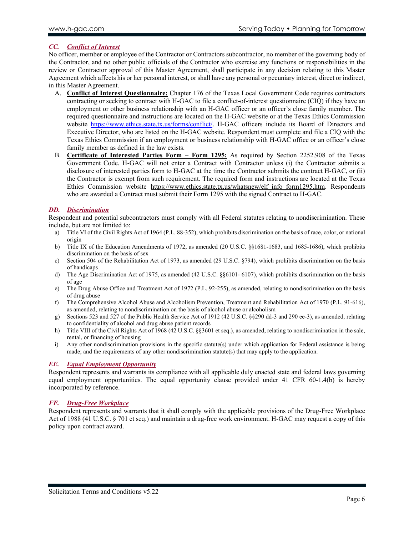# *CC. Conflict of Interest*

No officer, member or employee of the Contractor or Contractors subcontractor, no member of the governing body of the Contractor, and no other public officials of the Contractor who exercise any functions or responsibilities in the review or Contractor approval of this Master Agreement, shall participate in any decision relating to this Master Agreement which affects his or her personal interest, or shall have any personal or pecuniary interest, direct or indirect, in this Master Agreement.

- A. **Conflict of Interest Questionnaire:** Chapter 176 of the Texas Local Government Code requires contractors contracting or seeking to contract with H-GAC to file a conflict-of-interest questionnaire (CIQ) if they have an employment or other business relationship with an H-GAC officer or an officer's close family member. The required questionnaire and instructions are located on the H-GAC website or at the Texas Ethics Commission website [https://www.ethics.state.tx.us/forms/conflict/.](https://www.ethics.state.tx.us/forms/conflict/) H-GAC officers include its Board of Directors and Executive Director, who are listed on the H-GAC website. Respondent must complete and file a CIQ with the Texas Ethics Commission if an employment or business relationship with H-GAC office or an officer's close family member as defined in the law exists.
- B. **Certificate of Interested Parties Form – Form 1295:** As required by Section 2252.908 of the Texas Government Code. H-GAC will not enter a Contract with Contractor unless (i) the Contractor submits a disclosure of interested parties form to H-GAC at the time the Contractor submits the contract H-GAC, or (ii) the Contractor is exempt from such requirement. The required form and instructions are located at the Texas Ethics Commission website [https://www.ethics.state.tx.us/whatsnew/elf\\_info\\_form1295.htm.](https://www.ethics.state.tx.us/whatsnew/elf_info_form1295.htm) Respondents who are awarded a Contract must submit their Form 1295 with the signed Contract to H-GAC.

## *DD. Discrimination*

Respondent and potential subcontractors must comply with all Federal statutes relating to nondiscrimination. These include, but are not limited to:

- a) Title VI of the Civil Rights Act of 1964 (P.L. 88-352), which prohibits discrimination on the basis of race, color, or national origin
- b) Title IX of the Education Amendments of 1972, as amended (20 U.S.C. §§1681-1683, and 1685-1686), which prohibits discrimination on the basis of sex
- c) Section 504 of the Rehabilitation Act of 1973, as amended (29 U.S.C. §794), which prohibits discrimination on the basis of handicaps
- d) The Age Discrimination Act of 1975, as amended (42 U.S.C. §§6101- 6107), which prohibits discrimination on the basis of age
- e) The Drug Abuse Office and Treatment Act of 1972 (P.L. 92-255), as amended, relating to nondiscrimination on the basis of drug abuse
- f) The Comprehensive Alcohol Abuse and Alcoholism Prevention, Treatment and Rehabilitation Act of 1970 (P.L. 91-616), as amended, relating to nondiscrimination on the basis of alcohol abuse or alcoholism
- g) Sections 523 and 527 of the Public Health Service Act of 1912 (42 U.S.C. §§290 dd-3 and 290 ee-3), as amended, relating to confidentiality of alcohol and drug abuse patient records
- h) Title VIII of the Civil Rights Act of 1968 (42 U.S.C. §§3601 et seq.), as amended, relating to nondiscrimination in the sale, rental, or financing of housing
- i) Any other nondiscrimination provisions in the specific statute(s) under which application for Federal assistance is being made; and the requirements of any other nondiscrimination statute(s) that may apply to the application.

#### *EE. Equal Employment Opportunity*

Respondent represents and warrants its compliance with all applicable duly enacted state and federal laws governing equal employment opportunities. The equal opportunity clause provided under 41 CFR 60-1.4(b) is hereby incorporated by reference.

## *FF. Drug-Free Workplace*

Respondent represents and warrants that it shall comply with the applicable provisions of the Drug-Free Workplace Act of 1988 (41 U.S.C. § 701 et seq.) and maintain a drug-free work environment. H-GAC may request a copy of this policy upon contract award.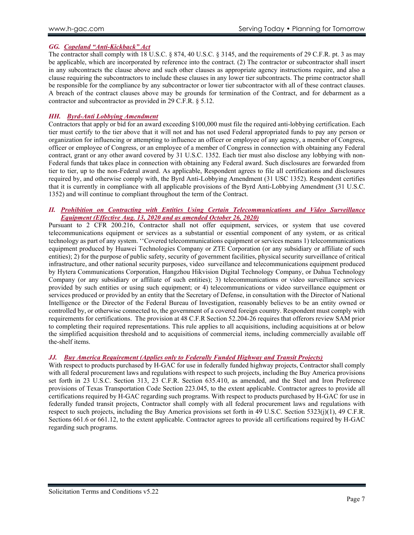## *GG. Copeland "Anti-Kickback" Act*

The contractor shall comply with 18 U.S.C. § 874, 40 U.S.C. § 3145, and the requirements of 29 C.F.R. pt. 3 as may be applicable, which are incorporated by reference into the contract. (2) The contractor or subcontractor shall insert in any subcontracts the clause above and such other clauses as appropriate agency instructions require, and also a clause requiring the subcontractors to include these clauses in any lower tier subcontracts. The prime contractor shall be responsible for the compliance by any subcontractor or lower tier subcontractor with all of these contract clauses. A breach of the contract clauses above may be grounds for termination of the Contract, and for debarment as a contractor and subcontractor as provided in 29 C.F.R. § 5.12.

#### *HH. Byrd-Anti Lobbying Amendment*

Contractors that apply or bid for an award exceeding \$100,000 must file the required anti-lobbying certification. Each tier must certify to the tier above that it will not and has not used Federal appropriated funds to pay any person or organization for influencing or attempting to influence an officer or employee of any agency, a member of Congress, officer or employee of Congress, or an employee of a member of Congress in connection with obtaining any Federal contract, grant or any other award covered by 31 U.S.C. 1352. Each tier must also disclose any lobbying with non-Federal funds that takes place in connection with obtaining any Federal award. Such disclosures are forwarded from tier to tier, up to the non-Federal award. As applicable, Respondent agrees to file all certifications and disclosures required by, and otherwise comply with, the Byrd Anti-Lobbying Amendment (31 USC 1352). Respondent certifies that it is currently in compliance with all applicable provisions of the Byrd Anti-Lobbying Amendment (31 U.S.C. 1352) and will continue to compliant throughout the term of the Contract.

## *II. Prohibition on Contracting with Entities Using Certain Telecommunications and Video Surveillance Equipment (Effective Aug. 13, 2020 and as amended October 26, 2020)*

Pursuant to 2 CFR 200.216, Contractor shall not offer equipment, services, or system that use covered telecommunications equipment or services as a substantial or essential component of any system, or as critical technology as part of any system. ''Covered telecommunications equipment or services means 1) telecommunications equipment produced by Huawei Technologies Company or ZTE Corporation (or any subsidiary or affiliate of such entities); 2) for the purpose of public safety, security of government facilities, physical security surveillance of critical infrastructure, and other national security purposes, video surveillance and telecommunications equipment produced by Hytera Communications Corporation, Hangzhou Hikvision Digital Technology Company, or Dahua Technology Company (or any subsidiary or affiliate of such entities); 3) telecommunications or video surveillance services provided by such entities or using such equipment; or 4) telecommunications or video surveillance equipment or services produced or provided by an entity that the Secretary of Defense, in consultation with the Director of National Intelligence or the Director of the Federal Bureau of Investigation, reasonably believes to be an entity owned or controlled by, or otherwise connected to, the government of a covered foreign country. Respondent must comply with requirements for certifications. The provision at 48 C.F.R Section 52.204-26 requires that offerors review SAM prior to completing their required representations. This rule applies to all acquisitions, including acquisitions at or below the simplified acquisition threshold and to acquisitions of commercial items, including commercially available off the-shelf items.

## *JJ. Buy America Requirement (Applies only to Federally Funded Highway and Transit Projects)*

With respect to products purchased by H-GAC for use in federally funded highway projects, Contractor shall comply with all federal procurement laws and regulations with respect to such projects, including the Buy America provisions set forth in 23 U.S.C. Section 313, 23 C.F.R. Section 635.410, as amended, and the Steel and Iron Preference provisions of Texas Transportation Code Section 223.045, to the extent applicable. Contractor agrees to provide all certifications required by H-GAC regarding such programs. With respect to products purchased by H-GAC for use in federally funded transit projects, Contractor shall comply with all federal procurement laws and regulations with respect to such projects, including the Buy America provisions set forth in 49 U.S.C. Section 5323(j)(1), 49 C.F.R. Sections 661.6 or 661.12, to the extent applicable. Contractor agrees to provide all certifications required by H-GAC regarding such programs.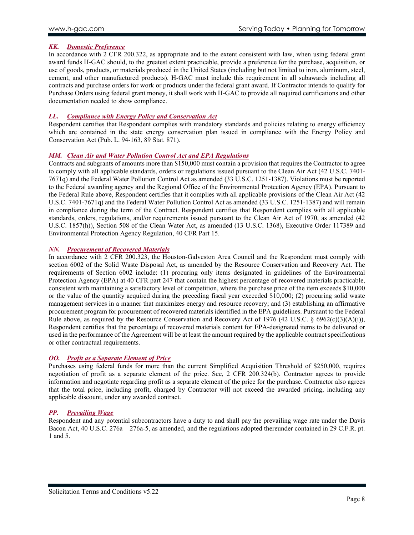## *KK. Domestic Preference*

In accordance with 2 CFR 200.322, as appropriate and to the extent consistent with law, when using federal grant award funds H-GAC should, to the greatest extent practicable, provide a preference for the purchase, acquisition, or use of goods, products, or materials produced in the United States (including but not limited to iron, aluminum, steel, cement, and other manufactured products). H-GAC must include this requirement in all subawards including all contracts and purchase orders for work or products under the federal grant award. If Contractor intends to qualify for Purchase Orders using federal grant money, it shall work with H-GAC to provide all required certifications and other documentation needed to show compliance.

## *LL. Compliance with Energy Policy and Conservation Act*

Respondent certifies that Respondent complies with mandatory standards and policies relating to energy efficiency which are contained in the state energy conservation plan issued in compliance with the Energy Policy and Conservation Act (Pub. L. 94-163, 89 Stat. 871).

# *MM. Clean Air and Water Pollution Control Act and EPA Regulations*

Contracts and subgrants of amounts more than \$150,000 must contain a provision that requires the Contractor to agree to comply with all applicable standards, orders or regulations issued pursuant to the Clean Air Act (42 U.S.C. 7401- 7671q) and the Federal Water Pollution Control Act as amended (33 U.S.C. 1251-1387). Violations must be reported to the Federal awarding agency and the Regional Office of the Environmental Protection Agency (EPA). Pursuant to the Federal Rule above, Respondent certifies that it complies with all applicable provisions of the Clean Air Act (42 U.S.C. 7401-7671q) and the Federal Water Pollution Control Act as amended (33 U.S.C. 1251-1387) and will remain in compliance during the term of the Contract. Respondent certifies that Respondent complies with all applicable standards, orders, regulations, and/or requirements issued pursuant to the Clean Air Act of 1970, as amended (42 U.S.C. 1857(h)), Section 508 of the Clean Water Act, as amended (13 U.S.C. 1368), Executive Order 117389 and Environmental Protection Agency Regulation, 40 CFR Part 15.

# *NN. Procurement of Recovered Materials*

In accordance with 2 CFR 200.323, the Houston-Galveston Area Council and the Respondent must comply with section 6002 of the Solid Waste Disposal Act, as amended by the Resource Conservation and Recovery Act. The requirements of Section 6002 include: (1) procuring only items designated in guidelines of the Environmental Protection Agency (EPA) at 40 CFR part 247 that contain the highest percentage of recovered materials practicable, consistent with maintaining a satisfactory level of competition, where the purchase price of the item exceeds \$10,000 or the value of the quantity acquired during the preceding fiscal year exceeded \$10,000; (2) procuring solid waste management services in a manner that maximizes energy and resource recovery; and (3) establishing an affirmative procurement program for procurement of recovered materials identified in the EPA guidelines. Pursuant to the Federal Rule above, as required by the Resource Conservation and Recovery Act of 1976 (42 U.S.C. § 6962(c)(3)(A)(i)), Respondent certifies that the percentage of recovered materials content for EPA-designated items to be delivered or used in the performance of the Agreement will be at least the amount required by the applicable contract specifications or other contractual requirements.

## *OO. Profit as a Separate Element of Price*

Purchases using federal funds for more than the current Simplified Acquisition Threshold of \$250,000, requires negotiation of profit as a separate element of the price. See, 2 CFR 200.324(b). Contractor agrees to provide information and negotiate regarding profit as a separate element of the price for the purchase. Contractor also agrees that the total price, including profit, charged by Contractor will not exceed the awarded pricing, including any applicable discount, under any awarded contract.

# *PP. Prevailing Wage*

Respondent and any potential subcontractors have a duty to and shall pay the prevailing wage rate under the Davis Bacon Act, 40 U.S.C. 276a – 276a-5, as amended, and the regulations adopted thereunder contained in 29 C.F.R. pt. 1 and 5.